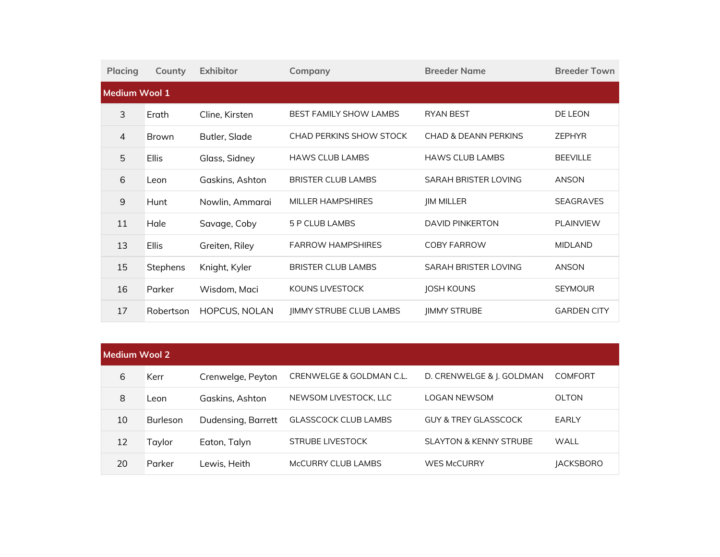| <b>Placing</b> | County        | <b>Exhibitor</b>     | Company                       | <b>Breeder Name</b>             | <b>Breeder Town</b> |  |  |
|----------------|---------------|----------------------|-------------------------------|---------------------------------|---------------------|--|--|
|                | Medium Wool 1 |                      |                               |                                 |                     |  |  |
| 3              | Erath         | Cline, Kirsten       | <b>BEST FAMILY SHOW LAMBS</b> | <b>RYAN BEST</b>                | DE LEON             |  |  |
| $\overline{4}$ | Brown         | Butler, Slade        | CHAD PERKINS SHOW STOCK       | <b>CHAD &amp; DEANN PERKINS</b> | <b>ZEPHYR</b>       |  |  |
| 5              | <b>Ellis</b>  | Glass, Sidney        | <b>HAWS CLUB LAMBS</b>        | <b>HAWS CLUB LAMBS</b>          | <b>BEEVILLE</b>     |  |  |
| 6              | Leon          | Gaskins, Ashton      | <b>BRISTER CLUB LAMBS</b>     | SARAH BRISTER LOVING            | <b>ANSON</b>        |  |  |
| 9              | Hunt          | Nowlin, Ammarai      | <b>MILLER HAMPSHIRES</b>      | <b>JIM MILLER</b>               | <b>SEAGRAVES</b>    |  |  |
| 11             | Hale          | Savage, Coby         | 5 P CLUB LAMBS                | <b>DAVID PINKERTON</b>          | <b>PLAINVIEW</b>    |  |  |
| 13             | <b>Ellis</b>  | Greiten, Riley       | <b>FARROW HAMPSHIRES</b>      | <b>COBY FARROW</b>              | <b>MIDLAND</b>      |  |  |
| 15             | Stephens      | Knight, Kyler        | <b>BRISTER CLUB LAMBS</b>     | <b>SARAH BRISTER LOVING</b>     | <b>ANSON</b>        |  |  |
| 16             | Parker        | Wisdom, Maci         | KOUNS LIVESTOCK               | <b>JOSH KOUNS</b>               | <b>SEYMOUR</b>      |  |  |
| 17             | Robertson     | <b>HOPCUS, NOLAN</b> | JIMMY STRUBE CLUB LAMBS       | <b>JIMMY STRUBE</b>             | <b>GARDEN CITY</b>  |  |  |

| <b>Medium Wool 2</b> |                 |                    |                             |                                   |                  |  |
|----------------------|-----------------|--------------------|-----------------------------|-----------------------------------|------------------|--|
| 6                    | Kerr            | Crenwelge, Peyton  | CRENWELGE & GOLDMAN C.L.    | D. CRENWELGE & J. GOLDMAN         | <b>COMFORT</b>   |  |
| 8                    | Leon            | Gaskins, Ashton    | NEWSOM LIVESTOCK, LLC       | LOGAN NEWSOM                      | <b>OLTON</b>     |  |
| 10                   | <b>Burleson</b> | Dudensing, Barrett | <b>GLASSCOCK CLUB LAMBS</b> | <b>GUY &amp; TREY GLASSCOCK</b>   | EARLY            |  |
| 12                   | Taylor          | Eaton, Talyn       | STRUBE LIVESTOCK            | <b>SLAYTON &amp; KENNY STRUBE</b> | WALL             |  |
| 20                   | Parker          | Lewis, Heith       | MCCURRY CLUB LAMBS          | <b>WES McCURRY</b>                | <b>JACKSBORO</b> |  |